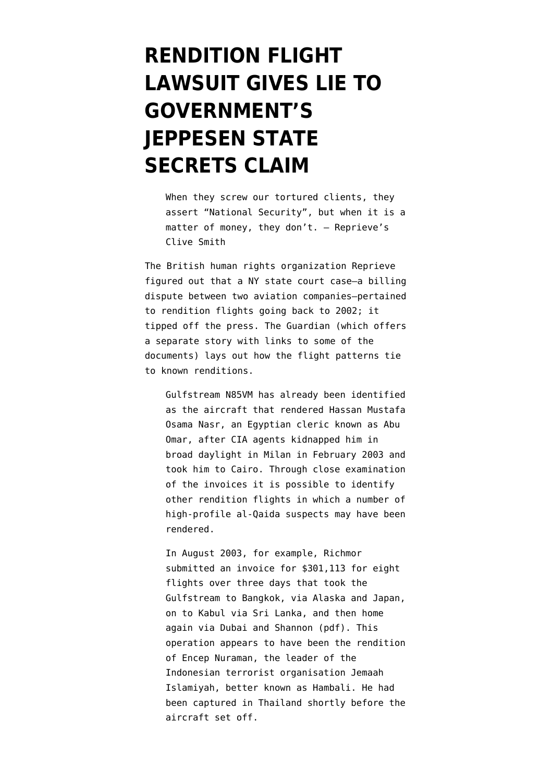## **[RENDITION FLIGHT](https://www.emptywheel.net/2011/08/31/rendition-flight-lawsuit-gives-lie-to-governments-jeppesen-state-secrets-claim/) [LAWSUIT GIVES LIE TO](https://www.emptywheel.net/2011/08/31/rendition-flight-lawsuit-gives-lie-to-governments-jeppesen-state-secrets-claim/) [GOVERNMENT'S](https://www.emptywheel.net/2011/08/31/rendition-flight-lawsuit-gives-lie-to-governments-jeppesen-state-secrets-claim/) [JEPPESEN STATE](https://www.emptywheel.net/2011/08/31/rendition-flight-lawsuit-gives-lie-to-governments-jeppesen-state-secrets-claim/) [SECRETS CLAIM](https://www.emptywheel.net/2011/08/31/rendition-flight-lawsuit-gives-lie-to-governments-jeppesen-state-secrets-claim/)**

When they screw our tortured clients, they assert "National Security", but when it is a matter of money, they don't. — [Reprieve's](http://twitter.com/CliveSSmith/statuses/109022725762330625) [Clive Smith](http://twitter.com/CliveSSmith/statuses/109022725762330625)

The British human rights organization Reprieve figured out that a NY state court case–a billing dispute between two aviation companies–pertained to rendition flights going back to 2002; it tipped off the press. The [Guardian](http://www.guardian.co.uk/world/2011/aug/31/us-firms-torture-flights-rendition) (which offers a separate story with [links to some of the](http://www.guardian.co.uk/world/2011/aug/31/cia-rendition-flights-cost) [documents\)](http://www.guardian.co.uk/world/2011/aug/31/cia-rendition-flights-cost) lays out how the flight patterns tie to known renditions.

Gulfstream N85VM has already been identified as the aircraft that rendered Hassan Mustafa Osama Nasr, an Egyptian cleric known as Abu Omar, after CIA agents kidnapped him in broad daylight in Milan in February 2003 and took him to Cairo. Through close examination of the invoices it is possible to identify other rendition flights in which a number of high-profile al-Qaida suspects may have been rendered.

In August 2003, for example, Richmor submitted an invoice for \$301,113 for eight flights over three days that took [the](http://image.guardian.co.uk/sys-files/Guardian/documents/2011/06/13/exhibit-284-rendition.pdf) [Gulfstream to Bangkok, via Alaska and Japan,](http://image.guardian.co.uk/sys-files/Guardian/documents/2011/06/13/exhibit-284-rendition.pdf) [on to Kabul via Sri Lanka, and then home](http://image.guardian.co.uk/sys-files/Guardian/documents/2011/06/13/exhibit-284-rendition.pdf) [again via Dubai and Shannon](http://image.guardian.co.uk/sys-files/Guardian/documents/2011/06/13/exhibit-284-rendition.pdf) (pdf). This operation appears to have been the rendition of Encep Nuraman, the leader of the Indonesian terrorist organisation Jemaah Islamiyah, better known as Hambali. He had been captured in Thailand shortly before the aircraft set off.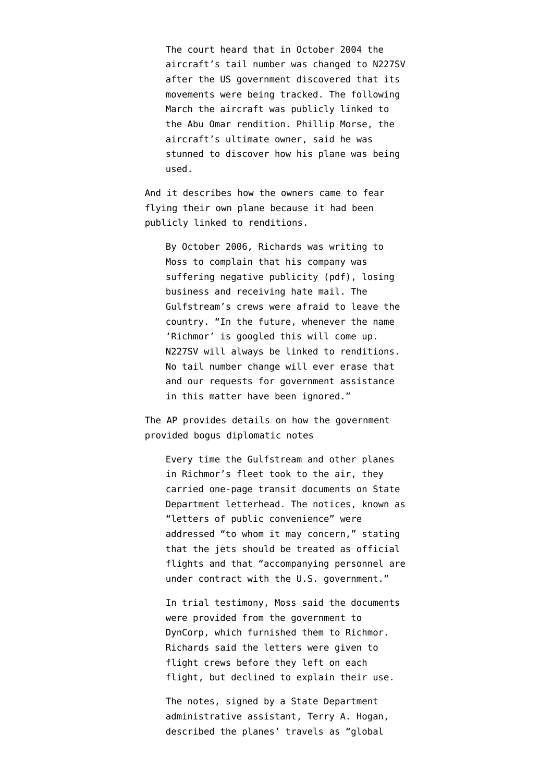The court heard that in October 2004 the aircraft's tail number was changed to N227SV after the US government discovered that its movements were being tracked. The following March the aircraft was publicly linked to the Abu Omar rendition. Phillip Morse, the aircraft's ultimate owner, said he was stunned to discover how his plane was being used.

And it describes how the owners came to fear flying their own plane because it had been publicly linked to renditions.

By October 2006, Richards was writing to Moss [to complain that his company was](http://image.guardian.co.uk/sys-files/Guardian/documents/2011/06/13/exhibit-320-rendition.pdf) [suffering negative publicity](http://image.guardian.co.uk/sys-files/Guardian/documents/2011/06/13/exhibit-320-rendition.pdf) (pdf), losing business and receiving hate mail. The Gulfstream's crews were afraid to leave the country. "In the future, whenever the name 'Richmor' is googled this will come up. N227SV will always be linked to renditions. No tail number change will ever erase that and our requests for government assistance in this matter have been ignored."

The AP [provides details](http://www.google.com/hostednews/ap/article/ALeqM5hzU9v2zZgfnL9ageRxaKwPx_DuwQ?docId=5877d398fc6746f699ee78c853419e5c) on how the government provided bogus diplomatic notes

Every time the Gulfstream and other planes in Richmor's fleet took to the air, they carried one-page transit documents on State Department letterhead. The notices, known as "letters of public convenience" were addressed "to whom it may concern," stating that the jets should be treated as official flights and that "accompanying personnel are under contract with the U.S. government."

In trial testimony, Moss said the documents were provided from the government to DynCorp, which furnished them to Richmor. Richards said the letters were given to flight crews before they left on each flight, but declined to explain their use.

The notes, signed by a State Department administrative assistant, Terry A. Hogan, described the planes' travels as "global